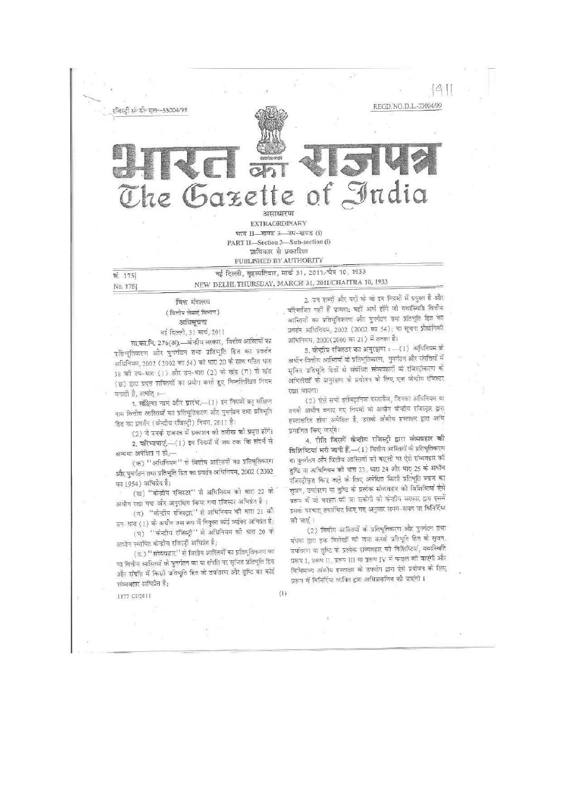

और पुनर्गठन तथा प्रतिभूति हित का प्रवर्तन अधिनियम, 2002 (2002 का 1954) अभिप्रेत है;

(ख) "केन्द्रीय रजिस्टर" से अधिनियम की थारा 22 के अधीन रखा गया और अनुरक्षित किया गया रजिस्टर अभिप्रेत है ;

(ग) "केन्द्रीय रजिस्ट्रार" से अधिनियम की धारा 21 की उप-धारा (1) के अधीन उस रूप में नियुक्त कोई व्यक्ति अभिप्रेत है; (घ) "केन्द्रीय रजिस्ट्री" से अधिनियम की धारा 20 के

अधीन स्थापित केन्द्रीय रजिस्ट्री अभिप्रेत है;

(ड.) ''संव्यवहार'' से वित्तीय आस्तियों का प्रतिभूतिकरण का या वित्तीय आस्तियों के पुनर्गठन का या संपति पर सृजित प्रतिभूति हित और संपत्ति में किसी प्रतिभूति हित के उपांतरण और तुष्टि का कोई संव्यवहार अभिप्रेत हैं;

 $(1)$ 

1177 GI/2011

तुष्टि या अधिनियम की धारा 23, धारा 24 और धारा 25 के अधीन रजिस्ट्रीकृत किए जाते के लिए अपेक्षित किसी प्रतिभूति ब्याज का सूजन, उपांतरण या तुष्टि के प्रत्येक संव्यवहार को विशिष्टियां ऐसे प्ररूप में जो फाइल की जा सकेंगी जो केन्द्रीय सरकार द्वारा इसमें इसके पश्चात् उपवंधित किए गए अनुसार समय-समय पर बिनिर्दिष्ट की जाएं ।

(2) वित्तीय आस्तियों के प्रतिभूतिकरण और पुनर्गठन तथा बंधक द्वारा इक विलेखों को जमा करके प्रतिभूति हित के सृजन, उपांतरण या तुष्टि के प्रत्येक संव्यवहार को विशिष्टियां, यथास्थिति प्ररूप I, प्ररूप II, प्ररूप III या प्ररूप IV में फाइल की जाएंगी और विधिमान्य अंकीय हस्ताक्षर के उपयोग द्वारा ऐसे प्रयोजन के लिए प्ररूप में विनिर्दिष्ट व्यक्ति द्वारा अधिप्रमाणित की जाएंगी ।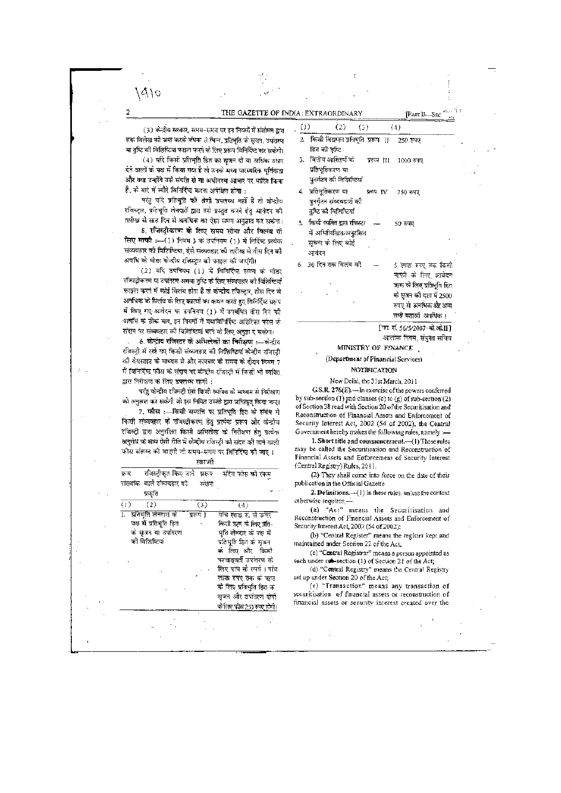THE GAZETTE OF INDIA: EXTRAORDINARY [PART II—SECTED:

 $(3)$  केन्द्रीय सरकार, समय-समय पर इन नियमों में संशोधन द्वारा हक विलेख को जमा करके बंधक से भिन्न, प्रतिभूति के सुजन, उपांतरण या तुष्टि की विशिष्टियां फाइल करने के लिए प्ररूप विनिर्दिष्ट कर सकेगी।

A\0

 $\overline{2}$ 

(4) यदि किसी प्रतिभूति हित का सूजन दो या अधिक उधार देने वालों के पक्ष में किया गया है तो उनके मध्य पारस्परिक पूर्विकता और क्या उन्होंने उसे संपत्ति से या अधीनस्थ आधार पर धारित किया हैं, को बारे में ब्यौरे विनिर्दिष्ट करना अपेक्षित होगा।

परंतु यदि प्रतिभूति की श्रेणी उपलब्ध नहीं है तो कोन्द्रीय रजिस्ट्रार, प्रतिभूति लेनदारों द्वारा उसे प्रस्तुत करने हेतु आवेदन की<br>तारीख से साठ दिन से अन**धिक का** ऐसा समय अनुज्ञात कर सक्षेगा।

5. रजिस्ट्रीकरण के लिए समय सीमा और किलंब के लिए माफी :--(1) नियम 3 के उपनियम (1) में निर्दिष्ट प्रत्येक संव्यवहार की विशिष्टिया, ऐसे संव्यवहार की तारीख से तीस दि**न की**<br>अवधि के भीतर केन्द्रीय रजिस्ट्रम को फाइल को जाएंगी।

(2) यदि उपनियम (1) में विनिर्दिष्ट समय के भीतर रजिस्ट्रीकरण या ठपलेरण अथवा तुष्टि के लिए संव्यवहार की विशिष्टियाँ<br>फाइल करने में कोई विलंब होता है तो केन्द्रीय रजिस्ट्रार, तीस दिन से अनधिक के विलंद के लिए कारणों का कथन करते हुए विनिर्दिष्ट प्ररूप  $\vec{r}$  fax  $\vec{r}$  or  $\vec{s}$  and  $\vec{r}$  and  $\vec{r}$  and  $\vec{r}$  is  $\vec{r}$  is far in  $\vec{s}$  far  $\vec{s}$  is far  $\vec{s}$  far  $\vec{s}$  far  $\vec{s}$  far  $\vec{s}$  far  $\vec{s}$  far  $\vec{s}$  far  $\vec{s}$  far  $\vec{s}$  far  $\vec{s}$  far  $\vec{s}$  fa अवधि के ठीक बाद, इन नियमों में यथाविनिर्दिष्ट अतिरिक्त फाँस के .<br>संदाय पर संव्यवहार को विशिष्टियां भरने के लिए अनुज्ञा द सकेगा।

6. स्रेन्ट्रीय रजिस्टर के अधिलेखों का निरीक्षण :- कंन्द्रीय रजिस्ट्री में रखे गए किसी संव्यवहार की विशिष्टियां केन्द्रीय रजिस्ट्री की बेबसाइट के माथ्यम से और कारवार के समय के दौरान नियम 7 में विनिर्दिष्ट फौस के सुदाय पर केन्द्रीय रजिस्ट्री में किसी भी व्यक्ति द्वार निरीक्षण के लिए उपलब्ध रहेगी :

परंतु केन्द्रीय रजिस्ट्री ऐसे किसी व्यक्ति को माध्यम से निरीक्षण को अनुज्ञात कर सकेगी जो इस निमित उसके द्वारा प्राधिकृत किया काए।

7. फीस :- किसी सम्पत्ति पर प्रतिभूति हित के संबंध में किसी संव्यवहार के रचिस्ट्रीकरण हेतु प्रत्येक प्ररूप और केन्द्रीय रजिस्ट्री द्वारा अनुरक्षित किसी अभिलेख को निरीक्षण हेतु प्रत्येक अनुरोध को साथ ऐसी रीति में केन्द्रीय रजिस्टी को संदत्त की जा<del>ने</del> वाली फोस संसम्न की आएगो को समय-समय पर विनिर्दिष्ट की आए।

| нкол                                  |          |                                                   |  |
|---------------------------------------|----------|---------------------------------------------------|--|
| रजिस्ट्रीकृत किए जाने। प्ररूप<br>क्रम |          | .<br>संदेय फोस को रकम                             |  |
| संख्यांक वाले संव्यवहार की            | संख्य    |                                                   |  |
| प्रकृति                               |          |                                                   |  |
| (1)<br>(2)                            | (3)      | (4)                                               |  |
| प्रतिभूति लेनदार्द को<br>ı.           | प्ररूप ] | पांच लाख रू. से ऊपर                               |  |
| पक्ष में प्रतिभूति हित                |          | किसी ऋण के लिए प्रति-                             |  |
| को सजन या उपातरण                      |          | भूति लेनदार के पक्ष में                           |  |
| को विशिष्टियाँ                        |          | प्रतिपूर्ति हित के मृजन                           |  |
|                                       |          | कं लिए और किसी                                    |  |
|                                       |          | पश्चात्वती उपांतरण के<br>लिए पांच सो रुपये । पांच |  |
|                                       |          | लाख रुपए तक के ऋण                                 |  |
|                                       |          | के लिए प्रतिभूति हित के                           |  |
|                                       |          | सृजन और उपांतरण दोनों                             |  |
|                                       |          | के लिए फीस 250 रुपए होगी।                         |  |
|                                       |          |                                                   |  |
|                                       |          |                                                   |  |
|                                       |          |                                                   |  |
|                                       |          |                                                   |  |

| 0) | $(2)$ $(3)$                                            | (4)                          |
|----|--------------------------------------------------------|------------------------------|
|    | 2.   किसी विद्यमान प्रतिभूति  प्ररूप   II     250 रुपए |                              |
|    | हित की तृष्टि                                          |                              |
| 3. | वित्तीय आस्तियों के प्ररूप III 1000 रुपए               |                              |
|    | प्रतिभूतिकरण या                                        |                              |
|    | पुनर्गठन की विशिर्ग्टयाँ                               |                              |
|    | 4. प्रतिभूतिकरण या - प्ररूप IV 250 रुपए                |                              |
|    | पुनर्गठन संव्यवहारों की                                |                              |
|    | तुष्टि की विशिष्टियाँ                                  |                              |
|    | 5. किसी व्यक्ति द्वारा रजिस्टर                         | 50 रुपए                      |
|    | में अभिलिखित/अनुरक्षित                                 |                              |
|    | सूचना के लिए कोई                                       |                              |
|    | आवेदन                                                  |                              |
|    | 6. 39 दिन तक विलंब की                                  | 5 लाख रुपए तक किसी           |
|    |                                                        | माफी के लिए आवेदन            |
|    |                                                        | ऋण के लिए प्रतिभूति हित      |
|    |                                                        | के सूजन की दश में 2500       |
|    |                                                        | रुपए से अनचिक और अन्य        |
|    |                                                        | सभी दशाओं अनधिक ।            |
|    |                                                        | [फा. सं. 56/5/2007-वी.ओ.II ] |

आलोक निगम, संयुक्त सचिव

MINISTRY OF FINANCE

# (Bepartmeut *&l* Fiaafiefei Services)

### **NOTIFICATION**

 $\ddot{\mathcal{L}}$  $S$ C.S.  $D$  exercise of the power of the powers conference of the powers conference of the powers conference of the powers conference of the powers conference of the powers conference of the powers conference of the power

GS.R. 276(E).—In exercise of the powers conferred<br>by sub-section (1) and clauses (c) to (g) of sub-section (2) of Section 38 read with Section 20 of the Securitisation and Reconstruction of Financial Assets and Enforcement of Security Interest Act, 2002 (54 of 2002), the Central Government hereby makes the following rules, namely:—

1. Short title and commencement. $-(1)$  These rules may be called the Securitisation and Reconstruction of Financial Assets and Enforcement of Security Interest (Central Registry) Rules, 2011.

(2) They shall come into force on the date of their publication in the Official Gazette.

2. Definitions.—(1) in these rules, unless the contextotherwise requires.—

(a) "Act" means the Securitisation and Reconstruction of Financial Assets and Enforcement of Security Interest Act, 2002 (54 of 2002);

(b) "Central Register" means the register kept and maintained under Section 22 of the Act;

(c) "Central Registrar" means a person appointed as such under sub-section (1) of Section 21 of the Act;

(d) "Central Registry" means the Centra! Registryset up under Section 20 of the Act;

(e) "Transaction" means any transaction of securitisation of financial assets or reconstruction of fmancia! assets or securitv interest created over the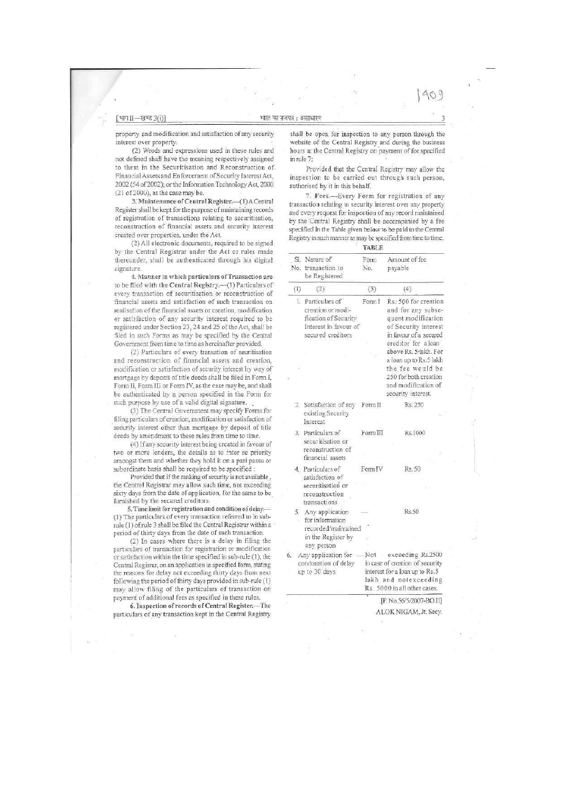property and modification and satisfaction of any security interest over property.

(2) Words and expressions used in these rules and not defined shali have the meaning respectively assigned to them in the Securitisation and Reconstruction of Financial Assets and Enforcement of Security Interest Act, 2002 (54 of 2002); or the Information Technology Act, 2000 (21 of 2000), as the case may be.

3. Maintenance of Central Register.--(1) A Central Register shall be kept for the purpose of maintaining records of registration of transactions relating to securitisation, reconstruction of financial assets and security interest created over properties, under the Act

(2) All electronic documents, required to be signed by the Central Registrar under the Act or rules made thereunder, shall be authenticated through his digital signature.

4. Manner in which particulars of Transaction are to be filed with the Central Registry,—*(l)* Particulars of every transaction of securitisation or reconstruction of financial assets and satisfaction of such transaction on realisation of the financial assets or creation, modification or satisfaction- of any security interest required to be registered under Section 23, 24 and 25 of the Act, shall be filed in such Forms as may be specified by the Central Government from time to time as hereinafter provided.

(2) Particulars of every transation of seuritisation and reconstruction of financial assets and creation, modification or satisfaction of security interest by way of mortgage by deposit of title deeds shall be filed in Form I, Form *11,* Form III or Form IV, as the case may be, and shall be authenticated by a person specified in the Form for such purpose by use of a valid digital signature.

(3) The Central Government may specify Forms for filing particulars of creation, modification or satisfaction of security interest other than mortgage by deposit of title deeds by amendment to these rules from time to time,

(4) If any security interest being created in favour of two or more lenders, the details as to inter se priority amongst them and whether they hold it on a pari passu or subordinate basis shall be required to be specified :

Provided that if the ranking of security is not available, the Central Registrar may allow such time, not exceeding sixty days from the date of application, for the same to be^ furnished by the secured creditors.

5. Time limit for registration and condition of delay.—- (1) The particulars of every transaction referred to in subrole (1) of rule 3 shall be filed the Central Registrar within a period of thirty days from the date of such transaction.

(2) In cases where there is a delay in filing the particulars of transaction for registration or modification or satisfaction within the time specified in sub-rule (1), the Central Regisrar, on an application in specified form, stating the reasons for delay not exceeding thirty days from next following the period of thirty days provided in sub-rule (1) may allow filing of the particulars of transaction on payment of additional fees as specified in these rules.

6. Inspection of records of Central Register.-The 6. Inspection of records of Central! Register.—The particulars of any transaction kept in the Central Registry shall be open for inspection to any person through the website of the Central Registry and during the business hours at the Central Registry on payment of fee specified in rule 7:

Provided that the Central Registry may allow the inspection to be carried out through such person, authorised by it in this behalf.

7. Fees.—-Every Form for registration of any transaction relating to security interest over any property and every request for inspection of any record maintained by the 'Central Registry shall be accompanied by a fee specified in the Table given below to be paid to the Central Registry in such manner as may be specified from time to time. **TABLE** 

| SL. | Nature of                                                                                                    |             |                                                                                                                                                                   |
|-----|--------------------------------------------------------------------------------------------------------------|-------------|-------------------------------------------------------------------------------------------------------------------------------------------------------------------|
|     | No. transaction to<br>be Registered                                                                          | Form<br>No. | Amount of fee<br>payable                                                                                                                                          |
| (1) | (2)                                                                                                          | (3)         | (4)                                                                                                                                                               |
|     | 1. Particulars of<br>creation or modi-<br>fication of Security<br>Interest in favour of<br>secured creditors | Form I      | Rs: 500 for creation<br>and for any subse-<br>quent modification<br>of Security interest<br>in favour of a secured<br>creditor for aloan<br>above Rs. 5 lakh. For |
|     |                                                                                                              |             | a loan up to Rs.5 lakh<br>the fee would be<br>250 for both creation<br>and modification of<br>security interest.                                                  |
|     | 2. Satisfaction of any Form II<br>existing Security<br>Interest                                              |             | Rs. 250                                                                                                                                                           |
|     | 3. Particulars of<br>securitisation or<br>reconstruction of<br>financial assets                              | Form III    | Rs.1000<br>ïΪ                                                                                                                                                     |
|     | 4. Particulars of<br>satisfaction of<br>securitisation or<br>reconstruction<br>transactions                  | Form IV     | Rs. 50                                                                                                                                                            |
|     | 5. Any application<br>for information<br>recorded/maintained<br>in the Register by<br>any person             | Ŵ           | R<50                                                                                                                                                              |
| 6.  | Any application for<br>condonation of delay<br>up to 30 days                                                 |             | Not exceeding Rs.2500<br>in case of creation of security<br>interest for a loan up to Rs.5<br>lakh and notexceeding<br>Rs. 5000 in all other cases.               |

ALOKNIGAM,Jt.Secy.

409